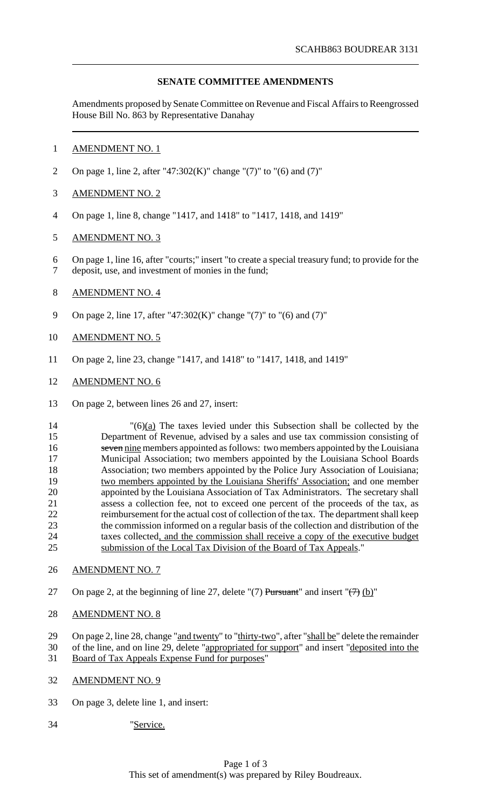# **SENATE COMMITTEE AMENDMENTS**

Amendments proposed by Senate Committee on Revenue and Fiscal Affairs to Reengrossed House Bill No. 863 by Representative Danahay

## AMENDMENT NO. 1

On page 1, line 2, after "47:302(K)" change "(7)" to "(6) and (7)"

## AMENDMENT NO. 2

On page 1, line 8, change "1417, and 1418" to "1417, 1418, and 1419"

## AMENDMENT NO. 3

 On page 1, line 16, after "courts;" insert "to create a special treasury fund; to provide for the deposit, use, and investment of monies in the fund;

## AMENDMENT NO. 4

On page 2, line 17, after "47:302(K)" change "(7)" to "(6) and (7)"

## AMENDMENT NO. 5

- On page 2, line 23, change "1417, and 1418" to "1417, 1418, and 1419"
- AMENDMENT NO. 6
- On page 2, between lines 26 and 27, insert:

 "(6)(a) The taxes levied under this Subsection shall be collected by the Department of Revenue, advised by a sales and use tax commission consisting of 16 seven nine members appointed as follows: two members appointed by the Louisiana Municipal Association; two members appointed by the Louisiana School Boards Association; two members appointed by the Police Jury Association of Louisiana; 19 two members appointed by the Louisiana Sheriffs' Association; and one member<br>20 appointed by the Louisiana Association of Tax Administrators. The secretary shall appointed by the Louisiana Association of Tax Administrators. The secretary shall assess a collection fee, not to exceed one percent of the proceeds of the tax, as reimbursement for the actual cost of collection of the tax. The department shall keep the commission informed on a regular basis of the collection and distribution of the taxes collected, and the commission shall receive a copy of the executive budget submission of the Local Tax Division of the Board of Tax Appeals."

- AMENDMENT NO. 7
- 27 On page 2, at the beginning of line 27, delete "(7) Pursuant" and insert " $\left(\frac{7}{7}\right)$  (b)"
- AMENDMENT NO. 8

29 On page 2, line 28, change "and twenty" to "thirty-two", after "shall be" delete the remainder 30 of the line, and on line 29, delete "appropriated for support" and insert "deposited into the

- Board of Tax Appeals Expense Fund for purposes"
- AMENDMENT NO. 9
- On page 3, delete line 1, and insert:
- "Service.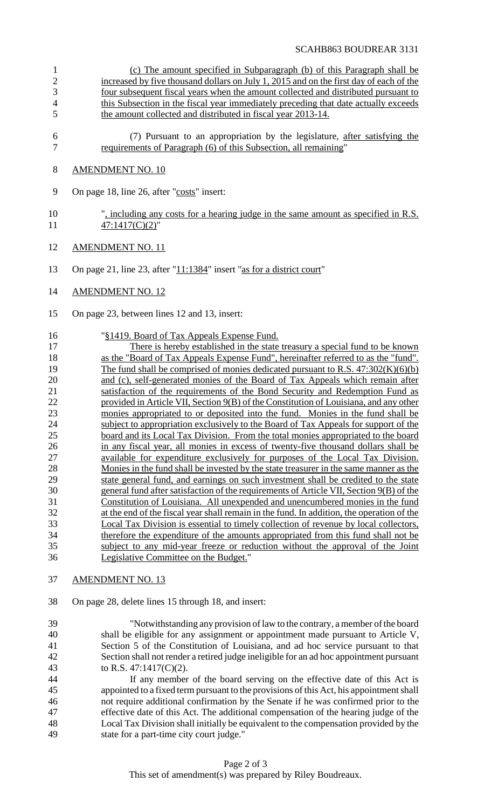### SCAHB863 BOUDREAR 3131

- 1 (c) The amount specified in Subparagraph (b) of this Paragraph shall be 2 increased by five thousand dollars on July 1, 2015 and on the first day of each of the 3 four subsequent fiscal years when the amount collected and distributed pursuant to 4 this Subsection in the fiscal year immediately preceding that date actually exceeds 5 the amount collected and distributed in fiscal year 2013-14.
- 6 (7) Pursuant to an appropriation by the legislature, after satisfying the 7 requirements of Paragraph (6) of this Subsection, all remaining"

### 8 AMENDMENT NO. 10

9 On page 18, line 26, after "costs" insert:

- 10 ", including any costs for a hearing judge in the same amount as specified in R.S. 11 47:1417(C)(2)"
- 12 AMENDMENT NO. 11
- 13 On page 21, line 23, after "11:1384" insert "as for a district court"
- 14 AMENDMENT NO. 12
- 15 On page 23, between lines 12 and 13, insert:

#### 16 "§1419. Board of Tax Appeals Expense Fund.

- 17 There is hereby established in the state treasury a special fund to be known 18 as the "Board of Tax Appeals Expense Fund", hereinafter referred to as the "fund". 19 The fund shall be comprised of monies dedicated pursuant to R.S. 47:302(K)(6)(b) 20 and (c), self-generated monies of the Board of Tax Appeals which remain after 21 satisfaction of the requirements of the Bond Security and Redemption Fund as 22 provided in Article VII, Section 9(B) of the Constitution of Louisiana, and any other 23 monies appropriated to or deposited into the fund. Monies in the fund shall be 24 subject to appropriation exclusively to the Board of Tax Appeals for support of the 25 board and its Local Tax Division. From the total monies appropriated to the board 26 in any fiscal year, all monies in excess of twenty-five thousand dollars shall be<br>27 available for expenditure exclusively for purposes of the Local Tax Division available for expenditure exclusively for purposes of the Local Tax Division. 28 Monies in the fund shall be invested by the state treasurer in the same manner as the state general fund, and earnings on such investment shall be credited to the state state general fund, and earnings on such investment shall be credited to the state 30 general fund after satisfaction of the requirements of Article VII, Section 9(B) of the 31 Constitution of Louisiana. All unexpended and unencumbered monies in the fund 32 at the end of the fiscal year shall remain in the fund. In addition, the operation of the 33 Local Tax Division is essential to timely collection of revenue by local collectors, 34 therefore the expenditure of the amounts appropriated from this fund shall not be 35 subject to any mid-year freeze or reduction without the approval of the Joint 36 Legislative Committee on the Budget."
- 37 AMENDMENT NO. 13
- 38 On page 28, delete lines 15 through 18, and insert:
- 39 "Notwithstanding any provision oflaw to the contrary, a member ofthe board 40 shall be eligible for any assignment or appointment made pursuant to Article V, 41 Section 5 of the Constitution of Louisiana, and ad hoc service pursuant to that 42 Section shall not render a retired judge ineligible for an ad hoc appointment pursuant 43 to R.S. 47:1417(C)(2).
- 44 If any member of the board serving on the effective date of this Act is 45 appointed to a fixed term pursuant to the provisions of this Act, his appointmentshall 46 not require additional confirmation by the Senate if he was confirmed prior to the 47 effective date of this Act. The additional compensation of the hearing judge of the 48 Local Tax Division shall initially be equivalent to the compensation provided by the 49 state for a part-time city court judge."